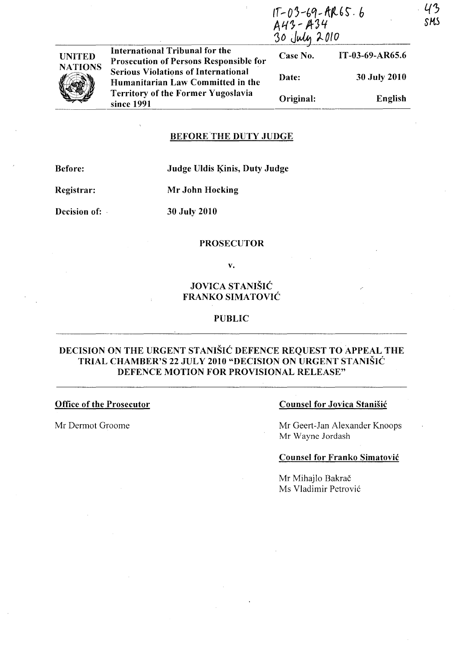|               |                                                                                 | $1T-03-69-AR65.6$<br>$A43 - A34$<br>30 July 2010 |                 |
|---------------|---------------------------------------------------------------------------------|--------------------------------------------------|-----------------|
| NITED         | International Tribunal for the<br><b>Prosecution of Persons Responsible for</b> | Case No.                                         | IT-03-69-AR65.6 |
| <b>ATIONS</b> | <b>Serious Violations of International</b><br>Humanitarian Law Committed in the | Date:                                            | 30 July 2010    |
|               | <b>Territory of the Former Yugoslavia</b><br>since 1991                         | Original:                                        | English         |

### BEFORE 'THE DUTY JUDGE

Before:

### Judge Uldis Kinis, Duty Judge

Registrar:

UNITED **NATIONS** 

Mr John Hocking

Decision of:

30 July 2010

### **PROSECUTOR**

v.

# JOVICA STANISIC FRANKO SIMATOVIC

### PUBLIC

## DECISION ON THE URGENT STANIŠIĆ DEFENCE REQUEST TO APPEAL THE TRIAL CHAMBER'S 22 JULY 2010 "DECISION ON URGENT STANISIC DEFENCE MOTION FOR PROVISIONAL RELEASE"

### Office of the Prosecutor

Mr Dermot Groome

### Counsel for Jovica Stanisic

Mr Geert-Jan Alexander Knoops Mr Wayne lordash

### Counsel for Franko Simatovic

Mr Mihajlo Bakrač Ms Vladimir Petrovi6 SMS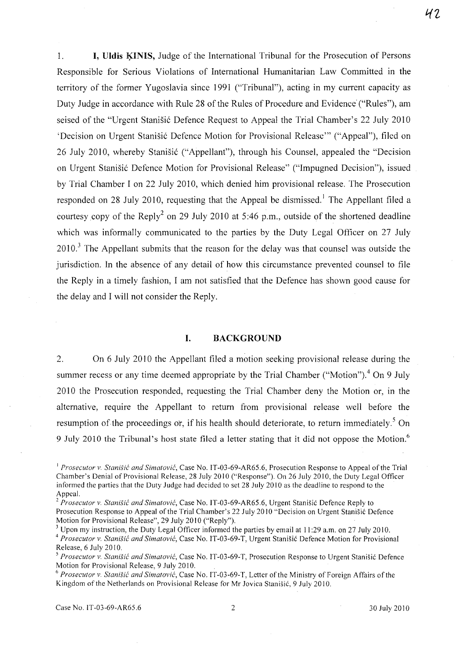1. **I. Uldis KINIS,** Judge of the International Tribunal for the Prosecution of Persons Responsible for Serious Violations of International Humanitarian Law Committed in the territory of the former Yugoslavia since 1991 ("Tribunal"), acting in my current capacity as Duty Judge in accordance with Rule 28 of the Rules of Procedure and Evidence' ("Rules"), am seised of the "Urgent Stanišić Defence Request to Appeal the Trial Chamber's 22 July 2010 'Decision on Urgent Stanisi6 Defence Motion for Provisional Release'" ("Appeal"), filed on 26 July 2010, whereby Stanisić ("Appellant"), through his Counsel, appealed the "Decision on Urgent Stanišić Defence Motion for Provisional Release" ("Impugned Decision"), issued by Trial Chamber I on 22 July 2010, which denied him provisional release. The Prosecution responded on 28 July 2010, requesting that the Appeal be dismissed.<sup>1</sup> The Appellant filed a courtesy copy of the Reply<sup>2</sup> on 29 July 2010 at 5:46 p.m., outside of the shortened deadline which was informally communicated to the parties by the Duty Legal Officer on 27 July  $2010$ .<sup>3</sup> The Appellant submits that the reason for the delay was that counsel was outside the jurisdiction. In the absence of any detail of how this circumstance prevented counsel to file the Reply in a timely fashion, I am not satisfied that the Defence has shown good cause for the delay and I will not consider the Reply.

### I. BACKGROUND

2. On 6 July 2010 the Appellant filed a motion seeking provisional release during the summer recess or any time deemed appropriate by the Trial Chamber ("Motion").<sup>4</sup> On 9 July 2010 the Prosecution responded, requesting the Trial Chamber deny the Motion or, in the alternative, require the Appellant to return from provisional release well before the resumption of the proceedings or, if his health should deteriorate, to return immediately.<sup>5</sup> On 9 July 2010 the Tribunal's host state filed a letter stating that it did not oppose the Motion.<sup>6</sup>

<sup>&</sup>lt;sup>1</sup> Prosecutor v. Stanišić and Simatović, Case No. IT-03-69-AR65.6, Prosecution Response to Appeal of the Trial Chamber's Denial of Provisional Release, 28 July 2010 ("Response"). On 26 July 2010, the Duty Legal Officer informed the parties that the Duty Judge had decided to set 28 July 2010 as the deadline to respond to the Appeal.

*<sup>2</sup> Prosecutor v. Stanisic and Simatovic,* Case No. IT-03-69-AR65.6, Urgent Stanisic Defence Reply to Prosecution Response to Appeal of the Trial Chamber's 22 July 20 10 "Decision on Urgent Stanisic Defence Motion for Provisional Release", 29 July 2010 ("Reply").

 $3$  Upon my instruction, the Duty Legal Officer informed the parties by email at 11:29 a.m. on 27 July 2010. *4 Prosecutor* v. *Stanisic and Simatovic,* Case No. IT-03-69-T, Urgent Stanisic Defence Motion for Provisional Release, 6 July 2010.

*<sup>5</sup> Prosecutor* v. *Stanisic and Simatovic,* Case No. IT-03-69-T, Prosecution Response to Urgent Stanisic Defence Motion for Provisional Release, 9 July 2010.

<sup>6</sup>*Prosecutor v. Stanisic and Simatovic,* Case No. IT-03-69-T, Letter of the Ministry of Foreign Affairs of the Kingdom of the Netherlands on Provisional Release for Mr Jovica Stanisic, 9 July 2010.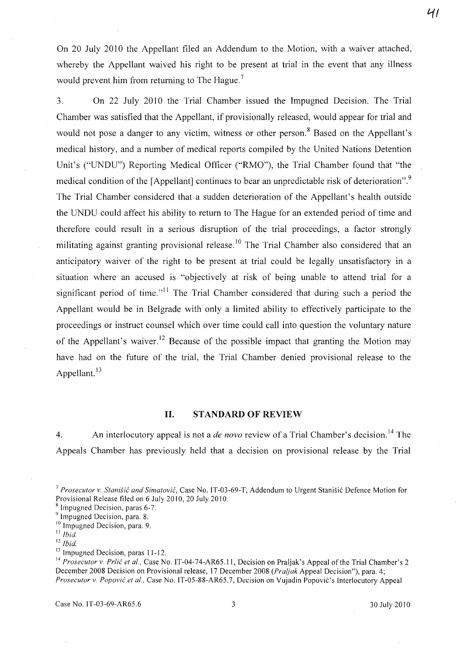On 20 July 2010 the Appellant filed an Addendum to the Motion, with a waiver attached, whereby the Appellant waived his right to be present at trial in the event that any illness would prevent him from returning to The Hague.<sup>7</sup>

3. On 22 July 2010 the Trial Chamber issued the Impugned Decision. The Trial Chamber was satisfied that the Appellant, if provisionally released, would appear for trial and would not pose a danger to any victim, witness or other person.<sup>8</sup> Based on the Appellant's medical history, and a number of medical reports compiled by the United Nations Detention Unit's ("UNDU") Reporting Medical Officer ("RMO"), the Trial Chamber found that "the medical condition of the [Appellant] continues to bear an unpredictable risk of deterioration".<sup>9</sup> The Trial Chamber considered that a sudden deterioration of the Appellant's health outside the UNDU could affect his ability to return to The Hague for an extended period of time and therefore could result in a serious disruption of the trial proceedings, a factor strongly militating against granting provisional release.<sup>10</sup> The Trial Chamber also considered that an anticipatory waiver of the right to be present at trial could be legally unsatisfactory in a situation where an accused is "objectively at risk of being unable to attend trial for a significant period of time. $n<sup>11</sup>$  The Trial Chamber considered that during such a period the Appellant would be in Belgrade with only a limited ability to effectively participate to the proceedings or instruct counsel which over time could call into question the voluntary nature of the Appellant's waiver.<sup>12</sup> Because of the possible impact that granting the Motion may have had on the future of the trial, the Trial Chamber denied provisional release to the Appellant.<sup>13</sup>

### 11. STANDARD OF REVIEW

4. An interlocutory appeal is not a *de novo* review of a Trial Chamber's decision. 14 The Appeals Chamber has previously held that a decision on provisional release by the Trial

<sup>13</sup> Impugned Decision, paras 11-12.

**'1f** 

<sup>7</sup>*Prosecutor v. Stanisic and Simatovic,* Case No. IT-03-69-T, Addendum to Urgent Stanisic Defence Motion for Provisional Release filed on 6 July 2010, 20 July 2010.

<sup>8</sup> Impugned Decision, paras 6-7.

<sup>&</sup>lt;sup>9</sup> Impugned Decision, para. 8.

<sup>&</sup>lt;sup>10</sup> Impugned Decision, para. 9.

 $11$  *Ibid.* 

 $12$  Ibid.

<sup>&</sup>lt;sup>14</sup> Prosecutor v. Prlic et al., Case No. IT-04-74-AR65.11, Decision on Praljak's Appeal of the Trial Chamber's 2 December 200S Decision on Provisional release, 17 December 200S *(Praljak* Appeal Decision"), para. 4; *Prosecutor v. Popovic et aI.,* Case No. IT-OS-SS-AR6S.7, Decision on Vujadin Popovic's Interlocutory Appeal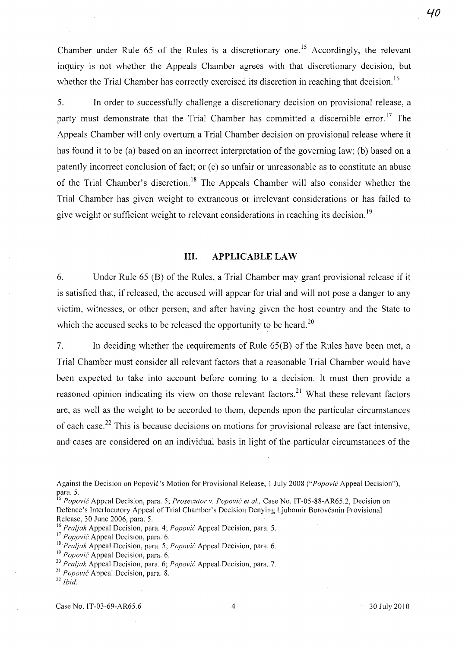Chamber under Rule 65 of the Rules is a discretionary one.<sup>15</sup> Accordingly, the relevant inquiry is not whether the Appeals Chamber agrees with that discretionary decision, but whether the Trial Chamber has correctly exercised its discretion in reaching that decision.<sup>16</sup>

5. In order to successfully challenge a discretionary decision on provisional release, a party must demonstrate that the Trial Chamber has committed a discernible error.<sup>17</sup> The Appeals Chamber will only overturn a Trial Chamber decision on provisional release where it has found it to be (a) based on an incorrect interpretation of the governing law; (b) based on a patently incorrect conclusion of fact; or (c) so unfair or unreasonable as to constitute an abuse of the Trial Chamber's discretion.<sup>18</sup> The Appeals Chamber will also consider whether the Trial Chamber has given weight to extraneous or irrelevant considerations or has failed to give weight or sufficient weight to relevant considerations in reaching its decision.<sup>19</sup>

### Ill. APPLICABLE LAW

6. Under Rule 65 (B) of the Rules, a Trial Chamber may grant provisional release if it is satisfied that, if released, the accused will appear for trial and will not pose a danger to any victim, witnesses, or other person; and after having given the host country and the State to which the accused seeks to be released the opportunity to be heard.<sup>20</sup>

7. In deciding whether the requirements of Rule 65(B) of the Rules have been met, a Trial Chamber must consider all relevant factors that a reasonable Trial Chamber would have been expected to take into account before coming to a decision. It must then provide a reasoned opinion indicating its view on those relevant factors.<sup>21</sup> What these relevant factors are, as well as the weight to be accorded to them, depends upon the particular circumstances of each case.<sup>22</sup> This is because decisions on motions for provisional release are fact intensive, and cases are considered on an individual basis in light of the particular circumstances of the

*15 Popovic* Appeal Decision, para. 5; *Prosecutor v. Popovic et aI.,* Case No. IT-05-88-AR65.2, Decision on Defence's Interlocutory Appeal of Trial Chamber's Decision Denying Ljubomir Borovcanin Provisional Release, 30 June 2006, para. 5.

- *16 Praljak* Appeal Decision, para. 4; *Popovic* Appeal Decision, para. 5.
- <sup>17</sup> Popović Appeal Decision, para. 6.

- <sup>19</sup> Popović Appeal Decision, para. 6.
- *20 Praljak* Appeal Decision, para. 6; *Popov;c* Appeal Decision, para. 7.
- *21 Popovic* Appeal Decision, para. 8.

Against the Decision on Popović's Motion for Provisional Release, 1 July 2008 *("Popović* Appeal Decision"), para. 5.

<sup>&</sup>lt;sup>18</sup> Praljak Appeal Decision, para. 5; *Popović* Appeal Decision, para. 6.

*<sup>22</sup> Ibid.*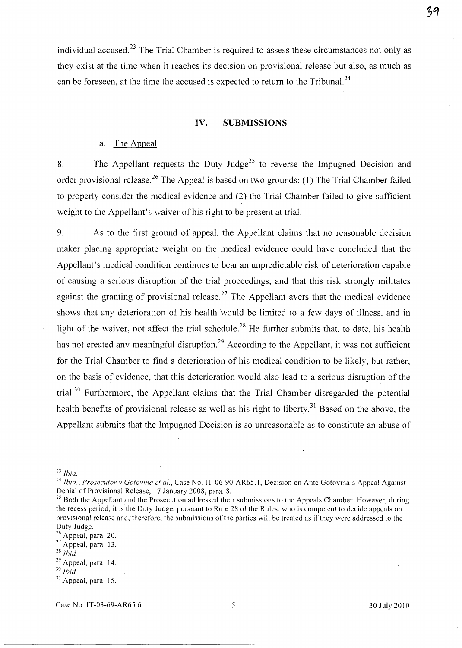individual accused.<sup>23</sup> The Trial Chamber is required to assess these circumstances not only as they exist at the time when it reaches its decision on provisional release but also, as much as can be foreseen, at the time the accused is expected to return to the Tribunal.<sup>24</sup>

### **IV. SUBMISSIONS**

### a. The Appeal

8. The Appellant requests the Duty Judge<sup>25</sup> to reverse the Impugned Decision and order provisional release.<sup>26</sup> The Appeal is based on two grounds: (1) The Trial Chamber failed to properly consider the medical evidence and (2) the Trial Chamber failed to give sufficient weight to the Appellant's waiver of his right to be present at trial.

9. As to the first ground of appeal, the Appellant claims that no reasonable decision maker placing appropriate weight on the medical evidence could have concluded that the Appellant's medical condition continues to bear an unpredictable risk of deterioration capable of causing a serious disruption of the trial proceedings, and that this risk strongly militates against the granting of provisional release.<sup>27</sup> The Appellant avers that the medical evidence shows that any deterioration of his health would be limited to a few days of illness, and in light of the waiver, not affect the trial schedule.<sup>28</sup> He further submits that, to date, his health has not created any meaningful disruption.<sup>29</sup> According to the Appellant, it was not sufficient for the Trial Chamber to find a deterioration of his medical condition to be likely, but rather, on the basis of evidence, that this deterioration would also lead to a serious disruption of the trial.<sup>30</sup> Furthermore, the Appellant claims that the Trial Chamber disregarded the potential health benefits of provisional release as well as his right to liberty.<sup>31</sup> Based on the above, the Appellant submits that the Impugned Decision is so unreasonable as to constitute an abuse of

*24 Ibid.; Prosecutor v Gotovina et al.,* Case No. IT-06-90-AR6S.I, Decision on Ante Gotovina's Appeal Against Denial of Provisional Release, 17 January 2008, para. 8.

<sup>25</sup> Both the Appellant and the Prosecution addressed their submissions to the Appeals Chamber. However, during the recess period, it is the Duty Judge, pursuant to Rule 28 of the Rules, who is competent to decide appeals on provisional release and, therefore, the submissions of the parties will be treated as if they were addressed to the Duty Judge.

- $27$  Appeal, para. 13.
- <sup>28</sup>*Ibid.*
- 29 Appeal, para. 14.
- <sup>30</sup> *Ibid.*

Case No. IT-03-69-AR6S.6 *S* 30July2010

*<sup>23</sup> Ibid.* 

<sup>&</sup>lt;sup>26</sup> Appeal, para. 20.

<sup>&</sup>lt;sup>31</sup> Appeal, para. 15.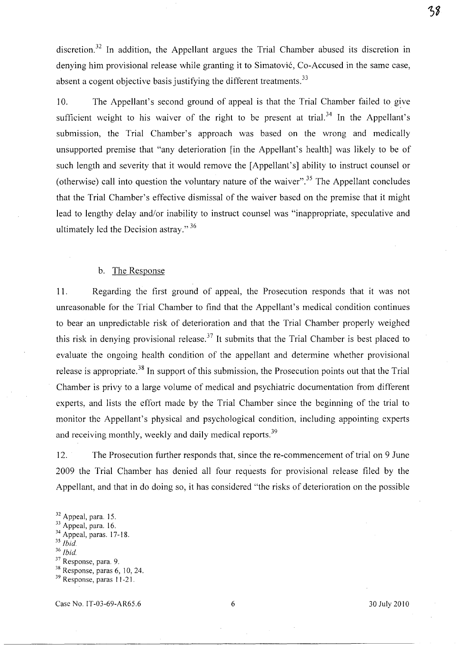discretion.<sup>32</sup> In addition, the Appellant argues the Trial Chamber abused its discretion in denying him provisional release while granting it to Simatovic, Co-Accused in the same case, absent a cogent objective basis justifying the different treatments.<sup>33</sup>

10. The Appellant's second ground of appeal is that the Trial Chamber failed to give sufficient weight to his waiver of the right to be present at trial.<sup>34</sup> In the Appellant's submission, the Trial Chamber's approach was based on the wrong and medically unsupported premise that "any deterioration [in the Appellant's health] was likely to be of such length and severity that it would remove the [Appellant's] ability to instruct counsel or (otherwise) call into question the voluntary nature of the waiver".35 The Appellant concludes that the Trial Chamber's effective dismissal of the waiver based on the premise that it might lead to lengthy delay and/or inability to instruct counsel was "inappropriate, speculative and ultimately led the Decision astray." 36

### b. The Response

11. Regarding the first ground of appeal, the Prosecution responds that it was not unreasonable for the Trial Chamber to find that the Appellant's medical condition continues to bear an unpredictable risk of deterioration and that the Trial Chamber properly weighed this risk in denying provisional release.<sup>37</sup> It submits that the Trial Chamber is best placed to evaluate the ongoing health condition of the appellant and determine whether provisional release is appropriate. 38 In support of this submission, the Prosecution points out that the Trial Chamber is privy to a large volume of medical and psychiatric documentation from different experts, and lists the effort made by the Trial Chamber since the beginning of the trial to monitor the Appellant's physical and psychological condition, including appointing experts and receiving monthly, weekly and daily medical reports.<sup>39</sup>

12. The Prosecution further responds that, since the re-commencement of trial on 9 June 2009 the Trial Chamber has denied all four requests for provisional release filed by the Appellant, and that in do doing so, it has considered "the risks of deterioration on the possible

Case No. 1T-03-69-AR65.6 6 30 July 2010

<sup>&</sup>lt;sup>32</sup> Appeal, para. 15.

<sup>&</sup>lt;sup>33</sup> Appeal, para. 16.

<sup>&</sup>lt;sup>34</sup> Appeal, paras. 17-18.

*<sup>35</sup> Ibid.* 

<sup>&</sup>lt;sup>36</sup> *Ibid.* 

<sup>37</sup> Response, para. 9.

<sup>38</sup> Response, paras 6, 10, 24.

<sup>&</sup>lt;sup>39</sup> Response, paras 11-21.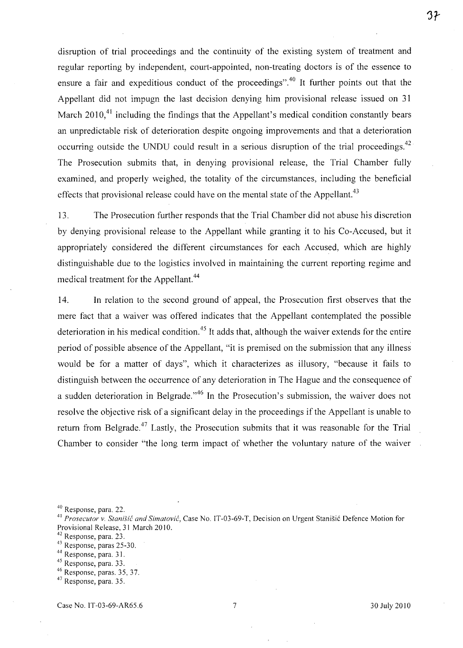disruption of trial proceedings and the continuity of the existing system of treatment and regular reporting by independent, court-appointed, non-treating doctors is of the essence to ensure a fair and expeditious conduct of the proceedings".<sup>40</sup> It further points out that the Appellant did not impugn the last decision denying him provisional release issued on 31 March  $2010$ <sup>41</sup> including the findings that the Appellant's medical condition constantly bears an unpredictable risk of deterioration despite ongoing improvements and that a deterioration occurring outside the UNDU could result in a serious disruption of the trial proceedings.<sup>42</sup> The Prosecution submits that, in denying provisional release, the Trial Chamber fully examined, and properly weighed, the totality of the circumstances, including the beneficial effects that provisional release could have on the mental state of the Appellant.<sup>43</sup>

13. The Prosecution further responds that the Trial Chamber did not abuse his discretion by denying provisional release to the Appellant while granting it to his Co-Accused, but it appropriately considered the different circumstances for .each Accused, which are highly distinguishable due to the logistics involved in maintaining the current reporting regime and medical treatment for the Appellant.<sup>44</sup>

14. In relation to the second ground of appeal, the Prosecution first observes that the mere fact that a waiver was offered indicates that the Appellant contemplated the possible deterioration in his medical condition.<sup>45</sup> It adds that, although the waiver extends for the entire period of possible absence of the Appellant, "it is premised on the submission that any illness would be for a matter of days", which it characterizes as illusory, "because it fails to distinguish between the occurrence of any deterioration in The Hague and the consequence of a sudden deterioration in Belgrade.<sup> $,46$ </sup> In the Prosecution's submission, the waiver does not resolve the objective risk of a significant delay in the proceedings if the Appellant is unable to return from Belgrade.<sup>47</sup> Lastly, the Prosecution submits that it was reasonable for the Trial Chamber to consider "the long term impact of whether the voluntary nature of the waiver

46 Response, paras. 35, 37.

<sup>40</sup> Response, para. 22.

<sup>&</sup>lt;sup>41</sup> Prosecutor v. Stanišić and Simatović, Case No. IT-03-69-T, Decision on Urgent Stanišić Defence Motion for Provisional Release, 31 March 20 10.

<sup>42</sup> Response, para. 23.

<sup>43</sup> Response, paras 25-30.

<sup>44</sup> Response, para. 3 I.

<sup>45</sup> Response, para. 33.

<sup>47</sup> Response, para. 35.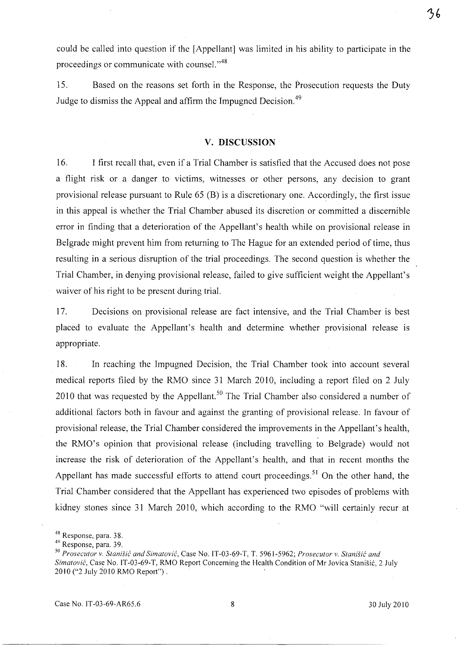could be called into question if the [Appellant] was limited in his ability to participate in the

ろ6

proceedings or communicate with counsel."<sup>48</sup>

15. Based on the reasons set forth in the Response, the Prosecution requests the Duty Judge to dismiss the Appeal and affirm the Impugned Decision.<sup>49</sup>

#### v. DISCUSSION

16. I first recall that, even if a Trial Chamber is satisfied that the Accused does not pose a flight risk or a danger to victims, witnesses or other persons, any decision to grant provisional release pursuant to Rule 65 (B) is a discretionary one. Accordingly, the first issue in this appeal is whether the Trial Chamber abused its discretion or committed a discernible error in finding that a deterioration of the Appellant's health while on provisional release in Belgrade might prevent him from returning to The Hague for an extended period of time, thus resulting in a serious disruption of the trial proceedings. The second question is whether the Trial Chamber, in denying provisional release, failed to give sufficient weight the Appellant's waiver of his right to be present during trial.

17. Decisions on provisional release are fact intensive, and the Trial Chamber is best placed to evaluate the Appellant's health and determine whether provisional release is appropriate.

18. In reaching the Impugned Decision, the Trial Chamber took into account several medical reports filed by the RMO since 31 March 2010, including a report filed on 2 July 2010 that was requested by the Appellant.<sup>50</sup> The Trial Chamber also considered a number of additional factors both in favour and against the granting of provisional release. In favour of provisional release, the Trial Chamber considered the improvements in the Appellant's health, the RMO's opinion that provisional release (including travelling to Belgrade) would not increase the risk of deterioration of the Appellant's health, and that in recent months the Appellant has made successful efforts to attend court proceedings.<sup>51</sup> On the other hand, the Trial Chamber considered that the Appellant has experienced two episodes of problems with kidney stones since 31 March 2010, which according to the RMO "will certainly recur at

<sup>48</sup> Response, para. 38.

<sup>49</sup> Response, para. 39.

*<sup>50</sup> Prosecutor* v. *Stanisi6 and Simatovi6,* Case No. IT -03-69-T, T. 5961-5962; *Prosecutor* v. *Stanisi6 and*  Simatović, Case No. IT-03-69-T, RMO Report Concerning the Health Condition of Mr Jovica Stanišić, 2 July 2010 ("2 July 2010 RMO Report"). .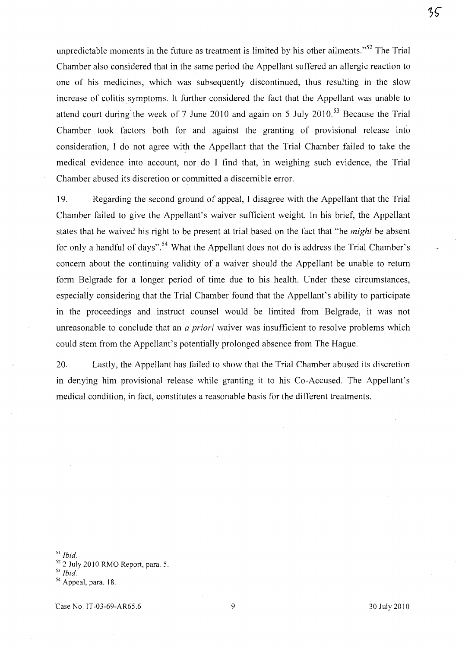unpredictable moments in the future as treatment is limited by his other ailments."<sup>52</sup> The Trial Chamber also considered that in the same period the Appellant suffered an allergic reaction to one of his medicines, which was subsequently discontinued, thus resulting in the slow increase of colitis symptoms. It further considered the fact that the Appellant was unable to attend court during' the week of 7 June 2010 and again on 5 July 2010. 53 Because the Trial Chamber took factors both for and against the granting of provisional release into consideration, I do not agree with the Appellant that the Trial Chamber failed to take the medical evidence into account, nor do I find that, in weighing such evidence, the Trial Chamber abused its discretion or committed a discernible error.

19. Regarding the second ground of appeal, I disagree with the Appellant that the Trial Chamber failed to give the Appellant's waiver sufficient weight. In his brief, the Appellant states that he waived his right to be present at trial based on the fact that "he *might* be absent for only a handful of days".<sup>54</sup> What the Appellant does not do is address the Trial Chamber's concern about the continuing validity of a waiver should the Appellant be unable to return form Belgrade for a longer period of time due to his health. Under these circumstances, especially considering that the Trial Chamber found that the Appellant's ability to participate in the proceedings and instruct counsel would be limited from Belgrade, it was not unreasonable to conclude that an *a priori* waiver was insufficient to resolve problems which could stem from the Appellant's potentially prolonged absence from The Hague.

20. Lastly, the Appellant has failed to show that the Trial Chamber abused its discretion in denying him provisional release while granting it to his Co-Accused. The Appellant's medical condition, in fact, constitutes a reasonable basis for the different treatments.

51 *Ibid.* 

 $52$  2 July 2010 RMO Report, para. 5.

35

*<sup>53</sup> Ibid.* 

<sup>54</sup> Appeal, para. 18.